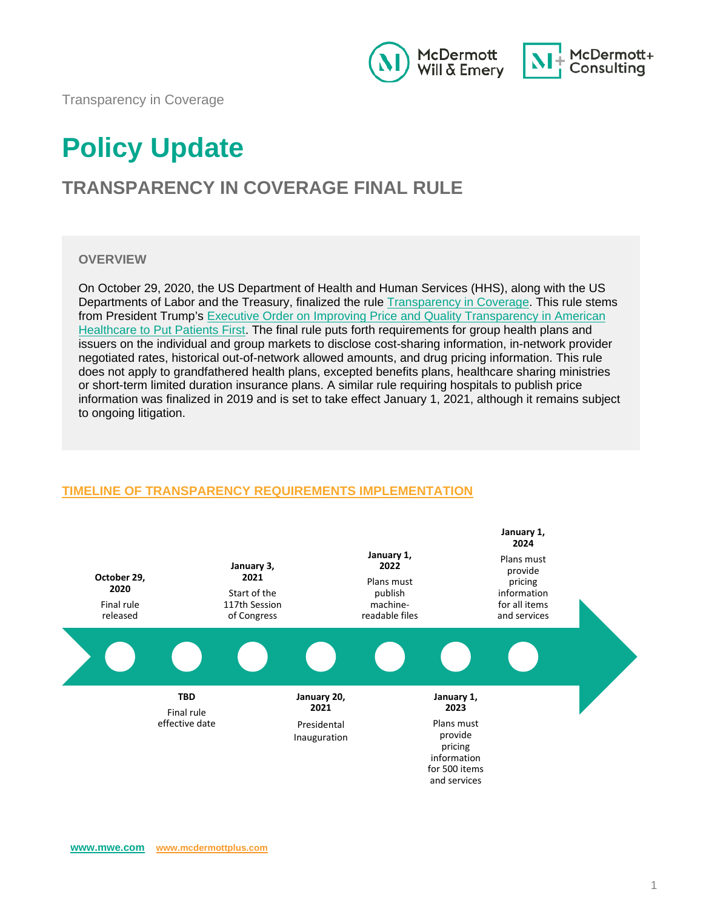



Transparency in Coverage

# **Policy Update**

# **TRANSPARENCY IN COVERAGE FINAL RULE**

#### **OVERVIEW**

On October 29, 2020, the US Department of Health and Human Services (HHS), along with the US Departments of Labor and the Treasury, finalized the rule [Transparency in Coverage.](https://www.cms.gov/CCIIO/Resources/Regulations-and-Guidance/Downloads/CMS-Transparency-in-Coverage-9915F.pdf) This rule stems from President Trump's Executive Order on Improving Price and Quality Transparency in American [Healthcare to Put Patients First.](https://www.whitehouse.gov/presidential-actions/executive-order-improving-price-quality-transparency-american-healthcare-put-patients-first/) The final rule puts forth requirements for group health plans and issuers on the individual and group markets to disclose cost-sharing information, in-network provider negotiated rates, historical out-of-network allowed amounts, and drug pricing information. This rule does not apply to grandfathered health plans, excepted benefits plans, healthcare sharing ministries or short-term limited duration insurance plans. A similar rule requiring hospitals to publish price information was finalized in 2019 and is set to take effect January 1, 2021, although it remains subject to ongoing litigation.



## **TIMELINE OF TRANSPARENCY REQUIREMENTS IMPLEMENTATION**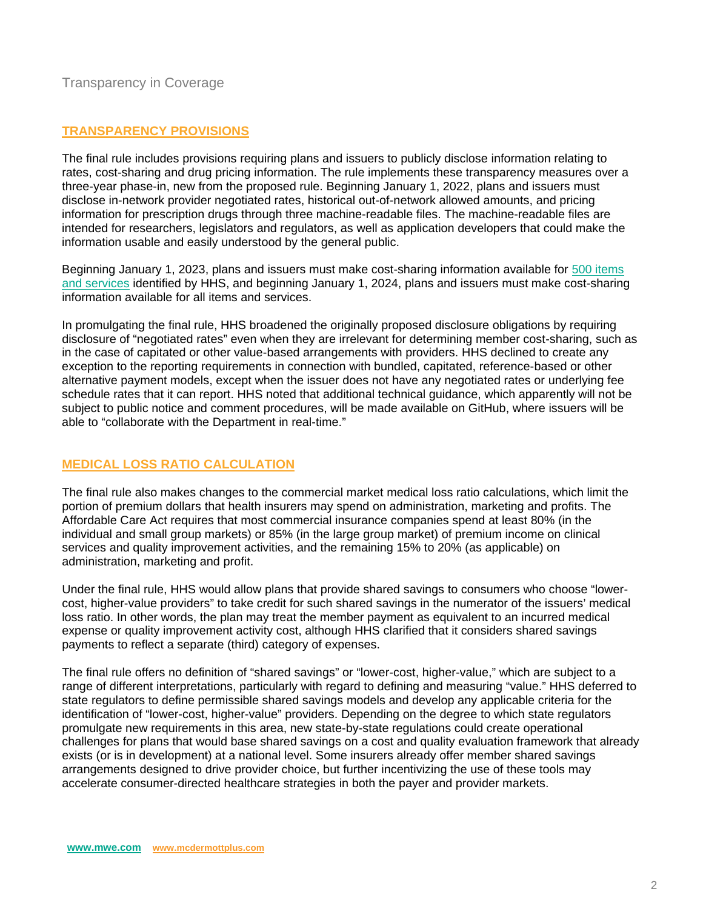## Transparency in Coverage

#### **TRANSPARENCY PROVISIONS**

The final rule includes provisions requiring plans and issuers to publicly disclose information relating to rates, cost-sharing and drug pricing information. The rule implements these transparency measures over a three-year phase-in, new from the proposed rule. Beginning January 1, 2022, plans and issuers must disclose in-network provider negotiated rates, historical out-of-network allowed amounts, and pricing information for prescription drugs through three machine-readable files. The machine-readable files are intended for researchers, legislators and regulators, as well as application developers that could make the information usable and easily understood by the general public.

Beginning January 1, 2023, plans and issuers must make cost-sharing information available for [500 items](https://www.cms.gov/CCIIO/Resources/Regulations-and-Guidance/Downloads/CMS-Transparency-in-Coverage-9915F.pdf#page=93)  [and services](https://www.cms.gov/CCIIO/Resources/Regulations-and-Guidance/Downloads/CMS-Transparency-in-Coverage-9915F.pdf#page=93) identified by HHS, and beginning January 1, 2024, plans and issuers must make cost-sharing information available for all items and services.

In promulgating the final rule, HHS broadened the originally proposed disclosure obligations by requiring disclosure of "negotiated rates" even when they are irrelevant for determining member cost-sharing, such as in the case of capitated or other value-based arrangements with providers. HHS declined to create any exception to the reporting requirements in connection with bundled, capitated, reference-based or other alternative payment models, except when the issuer does not have any negotiated rates or underlying fee schedule rates that it can report. HHS noted that additional technical guidance, which apparently will not be subject to public notice and comment procedures, will be made available on GitHub, where issuers will be able to "collaborate with the Department in real-time."

#### **MEDICAL LOSS RATIO CALCULATION**

The final rule also makes changes to the commercial market medical loss ratio calculations, which limit the portion of premium dollars that health insurers may spend on administration, marketing and profits. The Affordable Care Act requires that most commercial insurance companies spend at least 80% (in the individual and small group markets) or 85% (in the large group market) of premium income on clinical services and quality improvement activities, and the remaining 15% to 20% (as applicable) on administration, marketing and profit.

Under the final rule, HHS would allow plans that provide shared savings to consumers who choose "lowercost, higher-value providers" to take credit for such shared savings in the numerator of the issuers' medical loss ratio. In other words, the plan may treat the member payment as equivalent to an incurred medical expense or quality improvement activity cost, although HHS clarified that it considers shared savings payments to reflect a separate (third) category of expenses.

The final rule offers no definition of "shared savings" or "lower-cost, higher-value," which are subject to a range of different interpretations, particularly with regard to defining and measuring "value." HHS deferred to state regulators to define permissible shared savings models and develop any applicable criteria for the identification of "lower-cost, higher-value" providers. Depending on the degree to which state regulators promulgate new requirements in this area, new state-by-state regulations could create operational challenges for plans that would base shared savings on a cost and quality evaluation framework that already exists (or is in development) at a national level. Some insurers already offer member shared savings arrangements designed to drive provider choice, but further incentivizing the use of these tools may accelerate consumer-directed healthcare strategies in both the payer and provider markets.